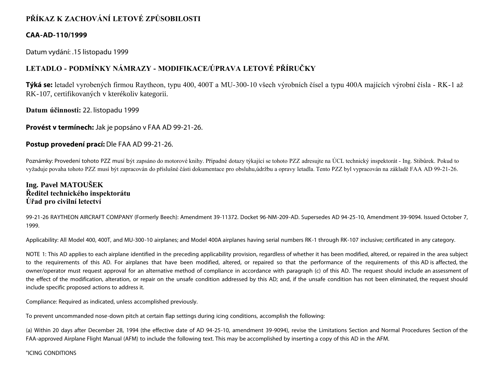### **PŘÍKAZ K ZACHOVÁNÍ LETOVÉ ZPŮSOBILOSTI**

### **CAA-AD-110/1999**

Datum vydání: .15 listopadu 1999

### **LETADLO - PODMÍNKY NÁMRAZY - MODIFIKACE/ÚPRAVA LETOVÉ PŘÍRUČKY**

**Týká se:** letadel vyrobených firmou Raytheon, typu 400, 400T a MU-300-10 všech výrobních čísel a typu 400A majících výrobní čísla - RK-1 až RK-107, certifikovaných v kterékoliv kategorii.

**Datum účinnosti:** 22. listopadu 1999

**Provést v termínech:** Jak je popsáno v FAA AD 99-21-26.

### **Postup provedení prací:** Dle FAA AD 99-21-26.

Poznámky: Provedení tohoto PZZ musí být zapsáno do motorové knihy. Případné dotazy týkající se tohoto PZZ adresujte na ÚCL technický inspektorát - Ing. Stibůrek. Pokud to vyžaduje povaha tohoto PZZ musí být zapracován do příslušné části dokumentace pro obsluhu,údržbu a opravy letadla. Tento PZZ byl vypracován na základě FAA AD 99-21-26.

### **Ing. Pavel MATOUŠEK Ředitel technického inspektorátu Úřad pro civilní letectví**

99-21-26 RAYTHEON AIRCRAFT COMPANY (Formerly Beech): Amendment 39-11372. Docket 96-NM-209-AD. Supersedes AD 94-25-10, Amendment 39-9094. Issued October 7, 1999.

Applicability: All Model 400, 400T, and MU-300-10 airplanes; and Model 400A airplanes having serial numbers RK-1 through RK-107 inclusive; certificated in any category.

NOTE 1: This AD applies to each airplane identified in the preceding applicability provision, regardless of whether it has been modified, altered, or repaired in the area subject to the requirements of this AD. For airplanes that have been modified, altered, or repaired so that the performance of the requirements of this AD is affected, the owner/operator must request approval for an alternative method of compliance in accordance with paragraph (c) of this AD. The request should include an assessment of the effect of the modification, alteration, or repair on the unsafe condition addressed by this AD; and, if the unsafe condition has not been eliminated, the request should include specific proposed actions to address it.

Compliance: Required as indicated, unless accomplished previously.

To prevent uncommanded nose-down pitch at certain flap settings during icing conditions, accomplish the following:

(a) Within 20 days after December 28, 1994 (the effective date of AD 94-25-10, amendment 39-9094), revise the Limitations Section and Normal Procedures Section of the FAA-approved Airplane Flight Manual (AFM) to include the following text. This may be accomplished by inserting a copy of this AD in the AFM.

"ICING CONDITIONS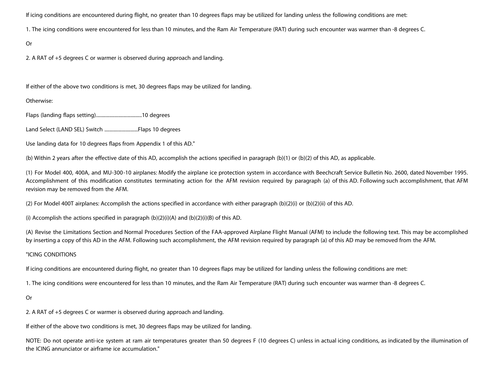If icing conditions are encountered during flight, no greater than 10 degrees flaps may be utilized for landing unless the following conditions are met:

1. The icing conditions were encountered for less than 10 minutes, and the Ram Air Temperature (RAT) during such encounter was warmer than -8 degrees C.

Or

2. A RAT of +5 degrees C or warmer is observed during approach and landing.

If either of the above two conditions is met, 30 degrees flaps may be utilized for landing.

Otherwise:

Flaps (landing flaps setting).....................................10 degrees

Land Select (LAND SEL) Switch ...........................Flaps 10 degrees

Use landing data for 10 degrees flaps from Appendix 1 of this AD."

(b) Within 2 years after the effective date of this AD, accomplish the actions specified in paragraph (b)(1) or (b)(2) of this AD, as applicable.

(1) For Model 400, 400A, and MU-300-10 airplanes: Modify the airplane ice protection system in accordance with Beechcraft Service Bulletin No. 2600, dated November 1995. Accomplishment of this modification constitutes terminating action for the AFM revision required by paragraph (a) of this AD. Following such accomplishment, that AFM revision may be removed from the AFM.

(2) For Model 400T airplanes: Accomplish the actions specified in accordance with either paragraph (b)(2)(i) or (b)(2)(ii) of this AD.

(i) Accomplish the actions specified in paragraph  $(b)(2)(i)(A)$  and  $(b)(2)(i)(B)$  of this AD.

(A) Revise the Limitations Section and Normal Procedures Section of the FAA-approved Airplane Flight Manual (AFM) to include the following text. This may be accomplished by inserting a copy of this AD in the AFM. Following such accomplishment, the AFM revision required by paragraph (a) of this AD may be removed from the AFM.

### "ICING CONDITIONS

If icing conditions are encountered during flight, no greater than 10 degrees flaps may be utilized for landing unless the following conditions are met:

1. The icing conditions were encountered for less than 10 minutes, and the Ram Air Temperature (RAT) during such encounter was warmer than -8 degrees C.

### Or

2. A RAT of +5 degrees C or warmer is observed during approach and landing.

If either of the above two conditions is met, 30 degrees flaps may be utilized for landing.

NOTE: Do not operate anti-ice system at ram air temperatures greater than 50 degrees F (10 degrees C) unless in actual icing conditions, as indicated by the illumination of the ICING annunciator or airframe ice accumulation."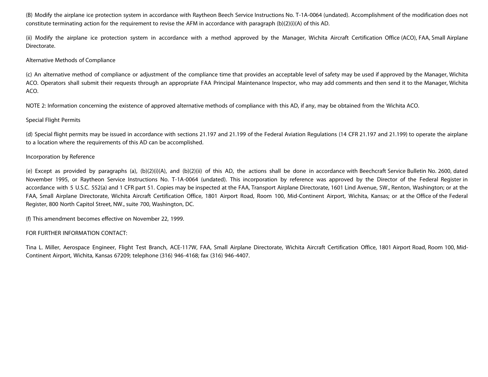(B) Modify the airplane ice protection system in accordance with Raytheon Beech Service Instructions No. T-1A-0064 (undated). Accomplishment of the modification does not constitute terminating action for the requirement to revise the AFM in accordance with paragraph (b)(2)(i)(A) of this AD.

(ii) Modify the airplane ice protection system in accordance with a method approved by the Manager, Wichita Aircraft Certification Office (ACO), FAA, Small Airplane Directorate.

### Alternative Methods of Compliance

(c) An alternative method of compliance or adjustment of the compliance time that provides an acceptable level of safety may be used if approved by the Manager, Wichita ACO. Operators shall submit their requests through an appropriate FAA Principal Maintenance Inspector, who may add comments and then send it to the Manager, Wichita ACO.

NOTE 2: Information concerning the existence of approved alternative methods of compliance with this AD, if any, may be obtained from the Wichita ACO.

### Special Flight Permits

(d) Special flight permits may be issued in accordance with sections 21.197 and 21.199 of the Federal Aviation Regulations (14 CFR 21.197 and 21.199) to operate the airplane to a location where the requirements of this AD can be accomplished.

### Incorporation by Reference

(e) Except as provided by paragraphs (a), (b)(2)(i)(A), and (b)(2)(ii) of this AD, the actions shall be done in accordance with Beechcraft Service Bulletin No. 2600, dated November 1995, or Raytheon Service Instructions No. T-1A-0064 (undated). This incorporation by reference was approved by the Director of the Federal Register in accordance with 5 U.S.C. 552(a) and 1 CFR part 51. Copies may be inspected at the FAA, Transport Airplane Directorate, 1601 Lind Avenue, SW., Renton, Washington; or at the FAA, Small Airplane Directorate, Wichita Aircraft Certification Office, 1801 Airport Road, Room 100, Mid-Continent Airport, Wichita, Kansas; or at the Office of the Federal Register, 800 North Capitol Street, NW., suite 700, Washington, DC.

(f) This amendment becomes effective on November 22, 1999.

### FOR FURTHER INFORMATION CONTACT:

Tina L. Miller, Aerospace Engineer, Flight Test Branch, ACE-117W, FAA, Small Airplane Directorate, Wichita Aircraft Certification Office, 1801 Airport Road, Room 100, Mid-Continent Airport, Wichita, Kansas 67209; telephone (316) 946-4168; fax (316) 946-4407.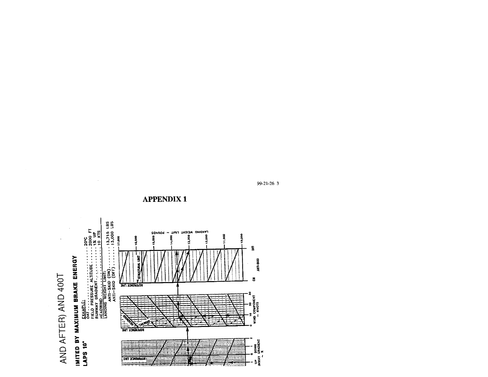### AND AFTER) AND 400T

 $\sim 10$ 



**APPENDIX1** 

99-21-26 3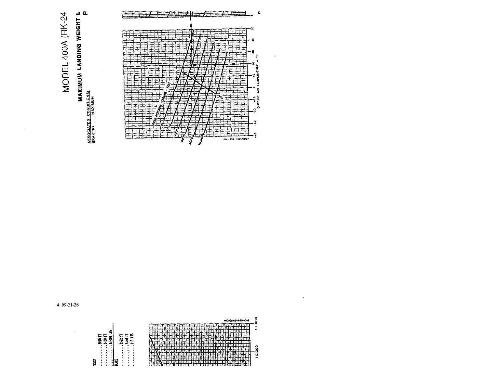

4 99-21-26

 $\bar{z}$ 

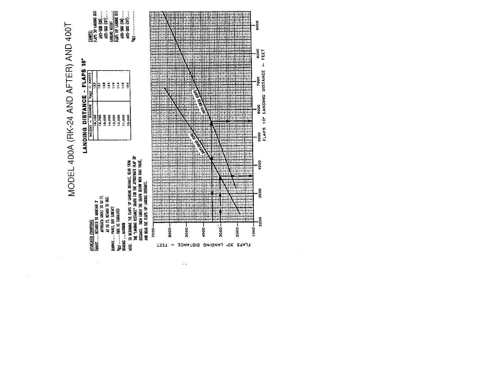MODEL 400A (RK-24 AND AFTER) AND 400T

 $\sim$ 



 $\sim$   $\sim$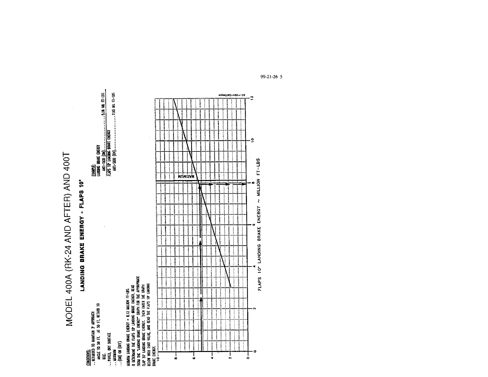MODEL 400A (RK-24 AND AFTER) AND 400T

## LANDING BRAKE ENERGY - FLAPS 10"

COMBIRONS:<br>..RTIARDED DO MJAKIAN 3\* APPROACH<br>.akgle to so Fi. A1 so F1, retard to<br>...NAKED, DRY SURFACE<br>...NATMUM<br>...(04) or (dFf)

- 
- -

AUMAN LANDAG BRAKE EKERCY = 8.12 MILLON FT-185.<br>O DETRAMIK THE FLAS' OP LANDAG BRAKE ENERGY, READ<br>TROAI INE "LANDING BRAKE ENERGY" GRAFII FOR THE APPROPRATE<br>TLAP JO" LANDAG BRAKE ENERGY. INEN FOR THE APPROPRATE<br>ELAP JO" LA

![](_page_6_Figure_7.jpeg)

99-21-26 5

400A(LW)-980-100

 $\overline{\mathbf{a}}$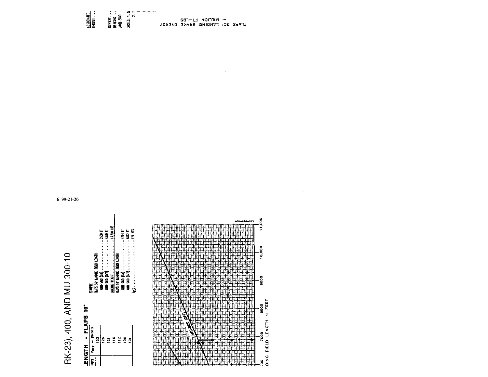## RK-23), 400, AND MU-300-10

### $\frac{1}{2}$ **FLAPS**  $\blacksquare$

|                    | 뤫            | <b>They are thrown used to their</b> |     |     |   | <b>LUFS 10 LUKING TELD LIDICITY</b> |   |   |  |
|--------------------|--------------|--------------------------------------|-----|-----|---|-------------------------------------|---|---|--|
| .O. SAYIL - ILUZU. | VRET ~ KNOTS | 3                                    | 126 | ឆ្ន | E | 11                                  | å | ē |  |
|                    |              |                                      |     |     |   |                                     |   |   |  |

![](_page_7_Figure_3.jpeg)

### 6 99-21-26

 $\begin{array}{ccccc} \backsim & \text{NICTION} & \text{EL-TB2} \\ & \text{LTVb2} & \text{2O} & \text{TVNDING BYKKE ENEBOL} \end{array}$ 

RUNWAY<br>Braking<br>Anti-Skid

NOTES: 1. N<br>2. T

ASSOCIATED<br>Thrust

 $\bar{z}$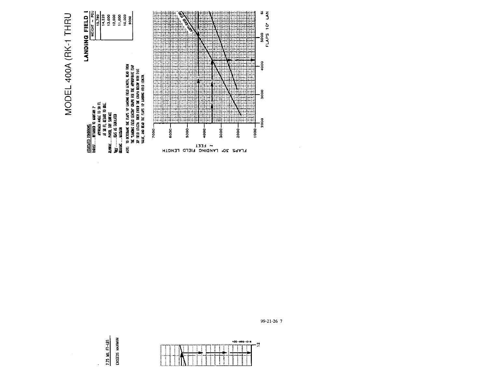![](_page_8_Figure_0.jpeg)

![](_page_8_Figure_1.jpeg)

![](_page_8_Figure_2.jpeg)

 $\ddot{\phantom{0}}$ 

 $\sim$ 

![](_page_8_Figure_3.jpeg)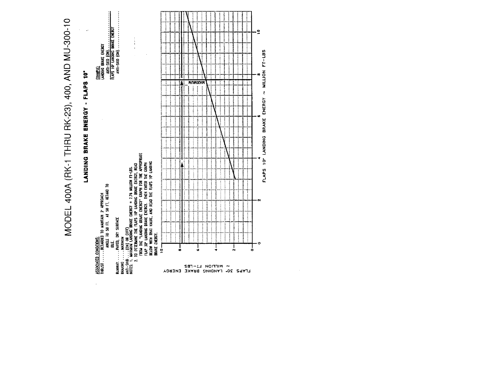![](_page_9_Figure_0.jpeg)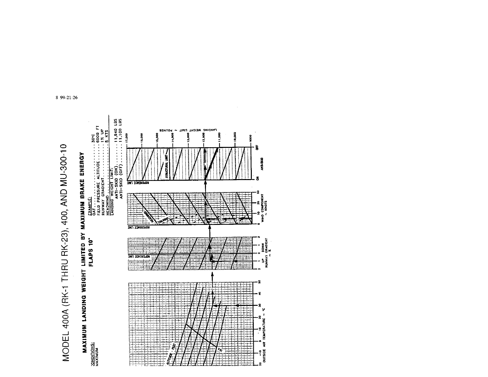# MODEL 400A (RK-1 THRU RK-23), 400, AND MU-300-10

![](_page_10_Figure_1.jpeg)

8 99-21-26